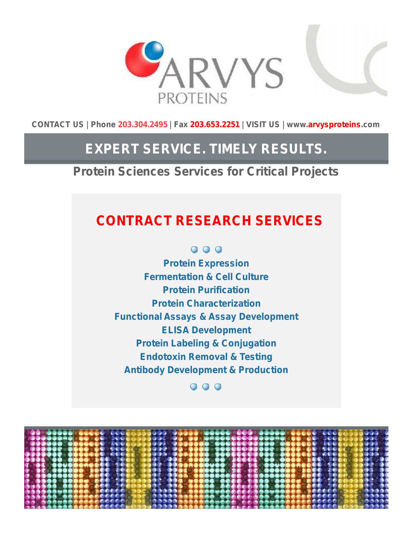



**CONTACT US | Phone 203.304.2495 | Fax 203.653.2251 | VISIT US | www.arvysproteins.com**

# **EXPERT SERVICE. TIMELY RESULTS.**

*Protein Sciences Services for Critical Projects*

# **CONTRACT RESEARCH SERVICES**

000

**Protein Expression Fermentation & Cell Culture Protein Purification Protein Characterization Functional Assays & Assay Development ELISA Development Protein Labeling & Conjugation Endotoxin Removal & Testing Antibody Development & Production**

# ...

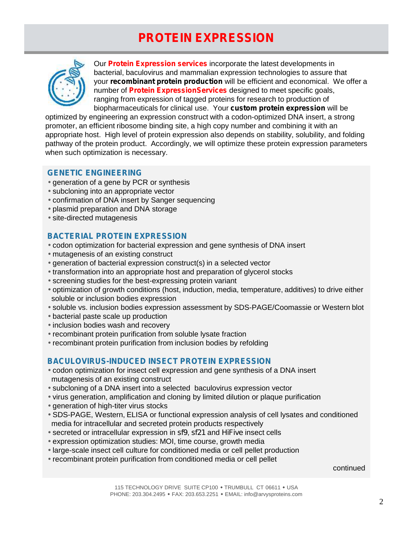# **PROTEIN EXPRESSION**



Our **Protein Expression services** incorporate the latest developments in bacterial, baculovirus and mammalian expression technologies to assure that your *recombinant protein production* will be efficient and economical. We offer a number of **Protein ExpressionServices** designed to meet specific goals, ranging from expression of tagged proteins for research to production of biopharmaceuticals for clinical use. Your *custom protein expression* will be

optimized by engineering an expression construct with a codon-optimized DNA insert, a strong promoter, an efficient ribosome binding site, a high copy number and combining it with an appropriate host. High level of protein expression also depends on stability, solubility, and folding pathway of the protein product. Accordingly, we will optimize these protein expression parameters when such optimization is necessary.

### **GENETIC ENGINEERING**

 generation of a gene by PCR or synthesis subcloning into an appropriate vector confirmation of DNA insert by Sanger sequencing plasmid preparation and DNA storage site-directed mutagenesis

# **BACTERIAL PROTEIN EXPRESSION**

 codon optimization for bacterial expression and gene synthesis of DNA insert mutagenesis of an existing construct

- generation of bacterial expression construct(s) in a selected vector
- transformation into an appropriate host and preparation of glycerol stocks
- screening studies for the best-expressing protein variant
- optimization of growth conditions (host, induction, media, temperature, additives) to drive either soluble or inclusion bodies expression
- soluble vs. inclusion bodies expression assessment by SDS-PAGE/Coomassie or Western blot
- bacterial paste scale up production
- inclusion bodies wash and recovery
- recombinant protein purification from soluble lysate fraction
- recombinant protein purification from inclusion bodies by refolding

# **BACULOVIRUS-INDUCED INSECT PROTEIN EXPRESSION**

 codon optimization for insect cell expression and gene synthesis of a DNA insert mutagenesis of an existing construct

subcloning of a DNA insert into a selected baculovirus expression vector

virus generation, amplification and cloning by limited dilution or plaque purification

generation of high-titer virus stocks

 SDS-PAGE, Western, ELISA or functional expression analysis of cell lysates and conditioned media for intracellular and secreted protein products respectively

secreted or intracellular expression in *sf9*, *sf21* and *HiFive* insect cells

expression optimization studies: MOI, time course, growth media

large-scale insect cell culture for conditioned media or cell pellet production

recombinant protein purification from conditioned media or cell pellet

#### continued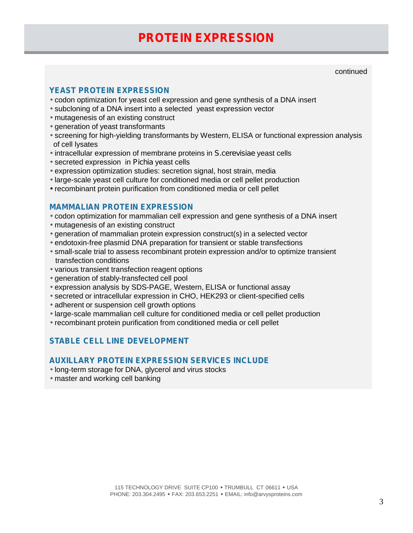# **PROTEIN EXPRESSION**

continued

### **YEAST PROTEIN EXPRESSION**

 $\sqrt{2}$  codon optimization for yeast cell expression and gene synthesis of a DNA insert

- subcloning of a DNA insert into a selected yeast expression vector
- mutagenesis of an existing construct
- generation of yeast transformants
- screening for high-yielding transformants by Western, ELISA or functional expression analysis of cell lysates
- intracellular expression of membrane proteins in *S.cerevisiae* yeast cells
- secreted expression in *Pichia* yeast cells
- expression optimization studies: secretion signal, host strain, media
- large-scale yeast cell culture for conditioned media or cell pellet production
- recombinant protein purification from conditioned media or cell pellet

#### **MAMMALIAN PROTEIN EXPRESSION**

- codon optimization for mammalian cell expression and gene synthesis of a DNA insert mutagenesis of an existing construct
- generation of mammalian protein expression construct(s) in a selected vector
- endotoxin-free plasmid DNA preparation for transient or stable transfections
- small-scale trial to assess recombinant protein expression and/or to optimize transient transfection conditions
- various transient transfection reagent options
- generation of stably-transfected cell pool
- expression analysis by SDS-PAGE, Western, ELISA or functional assay
- secreted or intracellular expression in CHO, HEK293 or client-specified cells
- adherent or suspension cell growth options
- large-scale mammalian cell culture for conditioned media or cell pellet production
- recombinant protein purification from conditioned media or cell pellet

# **STABLE CELL LINE DEVELOPMENT**

#### **AUXILLARY PROTEIN EXPRESSION SERVICES INCLUDE**

long-term storage for DNA, glycerol and virus stocks

master and working cell banking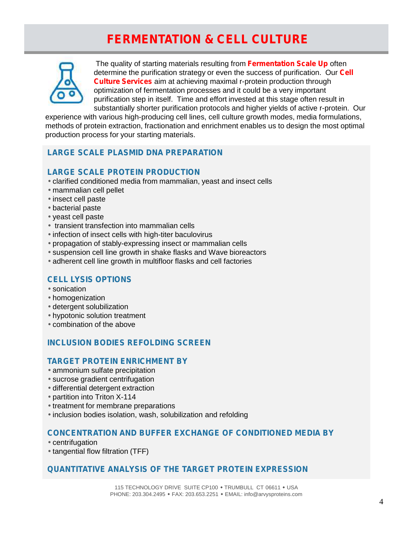# **FERMENTATION & CELL CULTURE**



The quality of starting materials resulting from **Fermentation Scale Up** often determine the purification strategy or even the success of purification. Our **Cell Culture Services** aim at achieving maximal r-protein production through optimization of fermentation processes and it could be a very important purification step in itself. Time and effort invested at this stage often result in substantially shorter purification protocols and higher yields of active r-protein. Our

experience with various high-producing cell lines, cell culture growth modes, media formulations, methods of protein extraction, fractionation and enrichment enables us to design the most optimal production process for your starting materials.

# **LARGE SCALE PLASMID DNA PREPARATION**

### **LARGE SCALE PROTEIN PRODUCTION**

clarified conditioned media from mammalian, yeast and insect cells

- mammalian cell pellet
- insect cell paste
- bacterial paste
- yeast cell paste
- transient transfection into mammalian cells
- I infection of insect cells with high-titer baculovirus
- propagation of stably-expressing insect or mammalian cells
- suspension cell line growth in shake flasks and Wave bioreactors
- adherent cell line growth in multifloor flasks and cell factories

# **CELL LYSIS OPTIONS**

 sonication homogenization detergent solubilization hypotonic solution treatment combination of the above

# **INCLUSION BODIES REFOLDING SCREEN**

### **TARGET PROTEIN ENRICHMENT BY**

- ammonium sulfate precipitation
- sucrose gradient centrifugation
- differential detergent extraction
- partition into Triton X-114
- treatment for membrane preparations
- Inclusion bodies isolation, wash, solubilization and refolding

### **CONCENTRATION AND BUFFER EXCHANGE OF CONDITIONED MEDIA BY**

- centrifugation
- $\frac{1}{1}$  tangential flow filtration (TFF)

# **QUANTITATIVE ANALYSIS OF THE TARGET PROTEIN EXPRESSION**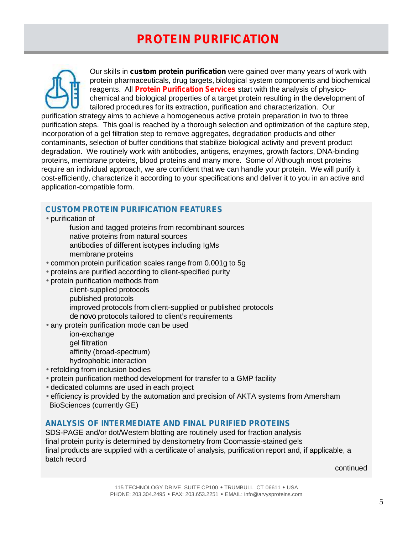# **PROTEIN PURIFICATION**



Our skills in *custom protein purification* were gained over many years of work with protein pharmaceuticals, drug targets, biological system components and biochemical reagents. All **Protein Purification Services** start with the analysis of physico chemical and biological properties of a target protein resulting in the development of tailored procedures for its extraction, purification and characterization. Our

purification strategy aims to achieve a homogeneous active protein preparation in two to three purification steps. This goal is reached by a thorough selection and optimization of the capture step, incorporation of a gel filtration step to remove aggregates, degradation products and other contaminants, selection of buffer conditions that stabilize biological activity and prevent product degradation. We routinely work with antibodies, antigens, enzymes, growth factors, DNA-binding proteins, membrane proteins, blood proteins and many more. Some of Although most proteins require an individual approach, we are confident that we can handle your protein. We will purify it cost-efficiently, characterize it according to your specifications and deliver it to you in an active and application-compatible form.

### **CUSTOM PROTEIN PURIFICATION FEATURES**

purification of

fusion and tagged proteins from recombinant sources native proteins from natural sources antibodies of different isotypes including IgMs membrane proteins

common protein purification scales range from 0.001g to 5g

proteins are purified according to client-specified purity

protein purification methods from

client-supplied protocols published protocols improved protocols from client-supplied or published protocols *de novo* protocols tailored to client's requirements

any protein purification mode can be used

ion-exchange gel filtration affinity (broad-spectrum) hydrophobic interaction

refolding from inclusion bodies

protein purification method development for transfer to a GMP facility

dedicated columns are used in each project

 efficiency is provided by the automation and precision of AKTA systems from Amersham BioSciences (currently GE)

### **ANALYSIS OF INTERMEDIATE AND FINAL PURIFIED PROTEINS**

SDS-PAGE and/or dot/Western blotting are routinely used for fraction analysis final protein purity is determined by densitometry from Coomassie-stained gels final products are supplied with a certificate of analysis, purification report and, if applicable, a batch record

continued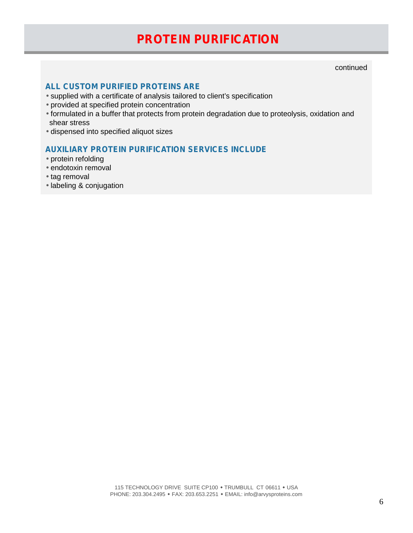# **PROTEIN PURIFICATION**

continued

### **ALL CUSTOM PURIFIED PROTEINS ARE**

supplied with a certificate of analysis tailored to client's specification

provided at specified protein concentration

 $\int$  formulated in a buffer that protects from protein degradation due to proteolysis, oxidation and shear stress

dispensed into specified aliquot sizes

# **AUXILIARY PROTEIN PURIFICATION SERVICES INCLUDE**

protein refolding

endotoxin removal

 $\frac{1}{1}$ tag removal

labeling & conjugation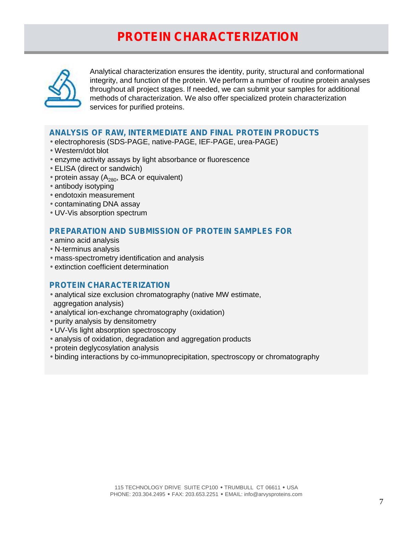# **PROTEIN CHARACTERIZATION**



Analytical characterization ensures the identity, purity, structural and conformational integrity, and function of the protein. We perform a number of routine protein analyses throughout all project stages. If needed, we can submit your samples for additional methods of characterization. We also offer specialized protein characterization services for purified proteins.

#### **ANALYSIS OF RAW, INTERMEDIATE AND F***I***NAL PROTEIN PRODUCTS**

- electrophoresis (SDS-PAGE, native-PAGE, IEF-PAGE, urea-PAGE)
- Western/dot blot
- enzyme activity assays by light absorbance or fluorescence
- ELISA (direct or sandwich)
- protein assay  $(A_{280}$ , BCA or equivalent)
- antibody isotyping
- endotoxin measurement
- contaminating DNA assay
- UV-Vis absorption spectrum

#### **PREPARATION AND SUBMISSION OF PROTEIN SAMPLES FOR**

- amino acid analysis
- N-terminus analysis
- mass-spectrometry identification and analysis
- extinction coefficient determination

#### **PROTEIN CHARACTERIZATION**

- analytical size exclusion chromatography (native MW estimate,
- aggregation analysis)
- analytical ion-exchange chromatography (oxidation)
- purity analysis by densitometry
- UV-Vis light absorption spectroscopy
- analysis of oxidation, degradation and aggregation products
- protein deglycosylation analysis
- binding interactions by co-immunoprecipitation, spectroscopy or chromatography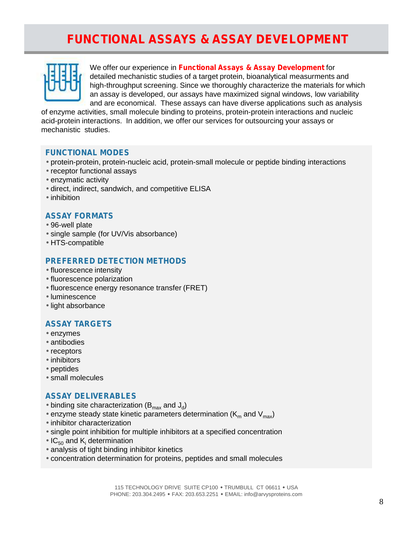# **FUNCTIONAL ASSAYS & ASSAY DEVELOPMENT**



We offer our experience in **Functional Assays & Assay Development** for detailed mechanistic studies of a target protein, bioanalytical measurments and high-throughput screening. Since we thoroughly characterize the materials for which an assay is developed, our assays have maximized signal windows, low variability and are economical. These assays can have diverse applications such as analysis

of enzyme activities, small molecule binding to proteins, protein-protein interactions and nucleic acid-protein interactions. In addition, we offer our services for outsourcing your assays or mechanistic studies.

#### **FUNCTIONAL MODES**

 protein-protein, protein-nucleic acid, protein-small molecule or peptide binding interactions receptor functional assays enzymatic activity direct, indirect, sandwich, and competitive ELISA inhibition

#### **ASSAY FORMATS**

 96-well plate single sample (for UV/Vis absorbance) HTS-compatible

#### **PREFERRED DETECTION METHODS**

 fluorescence intensity fluorescence polarization fluorescence energy resonance transfer (FRET) luminescence light absorbance

### **ASSAY TARGETS**

- enzymes
- antibodies
- receptors
- inhibitors
- peptides
- small molecules

# **ASSAY DELIVERABLES**

 $\int$  binding site characterization (B $_{\sf max}$  and J $_{\sf d}$ ) enzyme steady state kinetic parameters determination (K<sub>m</sub> and V<sub>max</sub>) inhibitor characterization single point inhibition for multiple inhibitors at a specified concentration  $IC_{50}$  and K<sub>i</sub> determination analysis of tight binding inhibitor kinetics concentration determination for proteins, peptides and small molecules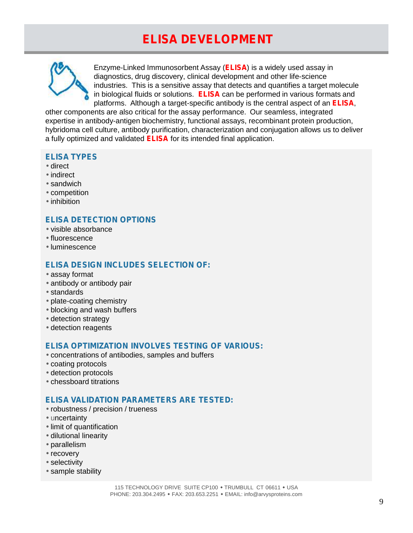# **ELISA DEVELOPMENT**



Enzyme-Linked Immunosorbent Assay (**ELISA**) is a widely used assay in diagnostics, drug discovery, clinical development and other life-science industries. This is a sensitive assay that detects and quantifies a target molecule in biological fluids or solutions. **ELISA** can be performed in various formats and platforms. Although a target-specific antibody is the central aspect of an **ELISA**,

other components are also critical for the assay performance. Our seamless, integrated expertise in antibody-antigen biochemistry, functional assays, recombinant protein production, hybridoma cell culture, antibody purification, characterization and conjugation allows us to deliver a fully optimized and validated **ELISA** for its intended final application.

#### **ELISA TYPES**

- direct
- indirect
- sandwich
- competition
- inhibition

### **ELISA DETECTION OPTIONS**

- visible absorbance
- fluorescence
- luminescence

#### **ELISA DESIGN INCLUDES SELECTION OF:**

- assay format
- antibody or antibody pair
- standards
- plate-coating chemistry
- blocking and wash buffers
- detection strategy
- detection reagents

#### **ELISA OPTIMIZATION INVOLVES TESTING OF VARIOUS:**

- concentrations of antibodies, samples and buffers coating protocols detection protocols
- chessboard titrations

### **ELISA VALIDATION PARAMETERS ARE TESTED:**

 robustness / precision / trueness uncertainty limit of quantification dilutional linearity parallelism recovery selectivity sample stability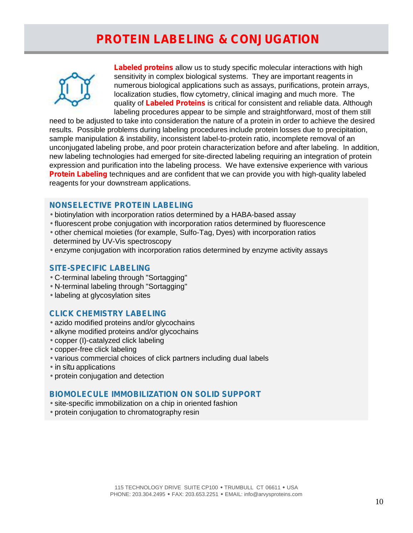# **PROTEIN LABELING & CONJUGATION**



**Labeled proteins** allow us to study specific molecular interactions with high sensitivity in complex biological systems. They are important reagents in numerous biological applications such as assays, purifications, protein arrays, localization studies, flow cytometry, clinical imaging and much more. The quality of **Labeled Proteins** is critical for consistent and reliable data. Although labeling procedures appear to be simple and straightforward, most of them still

need to be adjusted to take into consideration the nature of a protein in order to achieve the desired results. Possible problems during labeling procedures include protein losses due to precipitation, sample manipulation & instability, inconsistent label-to-protein ratio, incomplete removal of an unconjugated labeling probe, and poor protein characterization before and after labeling. In addition, new labeling technologies had emerged for site-directed labeling requiring an integration of protein expression and purification into the labeling process. We have extensive experience with various **Protein Labeling** techniques and are confident that we can provide you with high-quality labeled reagents for your downstream applications.

#### **NONSELECTIVE PROTEIN LABELING**

- biotinylation with incorporation ratios determined by a HABA-based assay
- fluorescent probe conjugation with incorporation ratios determined by fluorescence
- other chemical moieties (for example, Sulfo-Tag, Dyes) with incorporation ratios determined by UV-Vis spectroscopy
- enzyme conjugation with incorporation ratios determined by enzyme activity assays

### **SITE-SPECIFIC LABELING**

- C-terminal labeling through "Sortagging"
- N-terminal labeling through "Sortagging"
- labeling at glycosylation sites

### **CLICK CHEMISTRY LABELING**

- azido modified proteins and/or glycochains
- alkyne modified proteins and/or glycochains
- copper (I)-catalyzed click labeling
- copper-free click labeling
- various commercial choices of click partners including dual labels
- *in situ* applications
- protein conjugation and detection

### **BIOMOLECULE IMMOBILIZATION ON SOLID SUPPORT**

 site-specific immobilization on a chip in oriented fashion protein conjugation to chromatography resin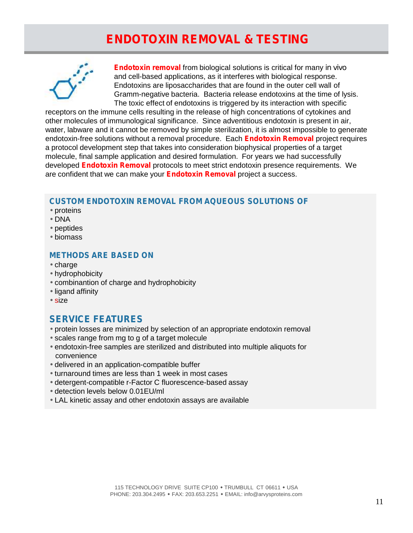# **ENDOTOXIN REMOVAL & TESTING**



**Endotoxin removal** from biological solutions is critical for many *in vivo* and cell-based applications, as it interferes with biological response. Endotoxins are liposaccharides that are found in the outer cell wall of Gramm-negative bacteria. Bacteria release endotoxins at the time of lysis. The toxic effect of endotoxins is triggered by its interaction with specific

receptors on the immune cells resulting in the release of high concentrations of cytokines and other molecules of immunological significance. Since adventitious endotoxin is present in air, water, labware and it cannot be removed by simple sterilization, it is almost impossible to generate endotoxin-free solutions without a removal procedure. Each **Endotoxin Removal** project requires a protocol development step that takes into consideration biophysical properties of a target molecule, final sample application and desired formulation. For years we had successfully developed **Endotoxin Removal** protocols to meet strict endotoxin presence requirements. We are confident that we can make your **Endotoxin Removal** project a success.

### **CUSTOM ENDOTOXIN REMOVAL FROM AQUEOUS SOLUTIONS OF**

- proteins
- DNA
- peptides
- biomass

### **METHODS ARE BASED ON**

- $\sqrt{c}$ charge
- hydrophobicity
- combinantion of charge and hydrophobicity
- ligand affinity
- size

# **SERVICE FEATURES**

- protein losses are minimized by selection of an appropriate endotoxin removal
- scales range from mg to g of a target molecule
- endotoxin-free samples are sterilized and distributed into multiple aliquots for convenience
- delivered in an application-compatible buffer
- turnaround times are less than 1 week in most cases
- detergent-compatible r-Factor C fluorescence-based assay
- detection levels below 0.01EU/ml
- LAL kinetic assay and other endotoxin assays are available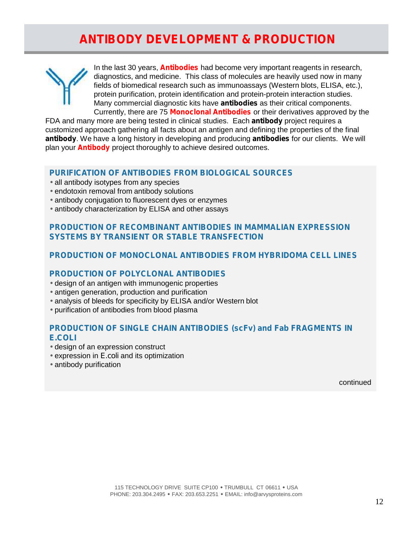# **ANTIBODY DEVELOPMENT & PRODUCTION**



In the last 30 years, **Antibodies** had become very important reagents in research, diagnostics, and medicine. This class of molecules are heavily used now in many fields of biomedical research such as immunoassays (Western blots, ELISA, etc.), protein purification, protein identification and protein-protein interaction studies. Many commercial diagnostic kits have *antibodies* as their critical components. Currently, there are 75 **Monoclonal Antibodies** or their derivatives approved by the

FDA and many more are being tested in clinical studies. Each *antibody* project requires a customized approach gathering all facts about an antigen and defining the properties of the final *antibody*. We have a long history in developing and producing *antibodies* for our clients. We will plan your **Antibody** project thoroughly to achieve desired outcomes.

#### **PURIFICATION OF ANTIBODIES FROM BIOLOGICAL SOURCES**

- all antibody isotypes from any species
- endotoxin removal from antibody solutions
- antibody conjugation to fluorescent dyes or enzymes
- antibody characterization by ELISA and other assays

### **PRODUCTION OF RECOMBINANT ANTIBODIES IN MAMMALIAN EXPRESSION SYSTEMS BY TRANSIENT OR STABLE TRANSFECTION**

#### **PRODUCTION OF MONOCLONAL ANTIBODIES FROM HYBRIDOMA CELL LINES**

#### **PRODUCTION OF POLYCLONAL ANTIBODIES**

- design of an antigen with immunogenic properties
- antigen generation, production and purification
- analysis of bleeds for specificity by ELISA and/or Western blot
- purification of antibodies from blood plasma

#### **PRODUCTION OF SINGLE CHAIN ANTIBODIES (scFv) and Fab FRAGMENTS IN** *E.COLI*

- design of an expression construct
- expression in *E.coli* and its optimization
- antibody purification

continued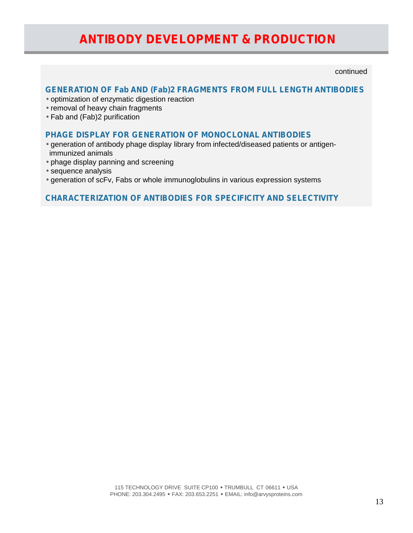# **ANTIBODY DEVELOPMENT & PRODUCTION**

continued

# **GENERATION OF Fab AND (Fab)2 FRAGMENTS FROM FULL LENGTH ANTIBODIES**

- optimization of enzymatic digestion reaction
- removal of heavy chain fragments
- Fab and (Fab)2 purification

#### **PHAGE DISPLAY FOR GENERATION OF MONOCLONAL ANTIBODIES**

- generation of antibody phage display library from infected/diseased patients or antigenimmunized animals
- phage display panning and screening
- sequence analysis
- generation of scFv, Fabs or whole immunoglobulins in various expression systems

### **CHARACTERIZATION OF ANTIBODIES FOR SPECIFICITY AND SELECTIVITY**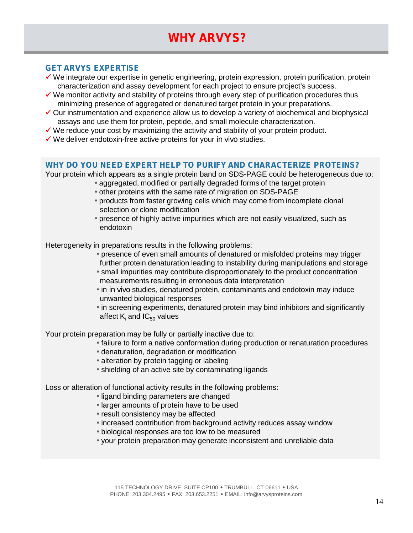# **WHY ARVYS?**

### **GET ARVYS EXPERTISE**

- We integrate our expertise in genetic engineering, protein expression, protein purification, protein characterization and assay development for each project to ensure project's success.
- $\checkmark$  We monitor activity and stability of proteins through every step of purification procedures thus minimizing presence of aggregated or denatured target protein in your preparations.
- $\checkmark$  Our instrumentation and experience allow us to develop a variety of biochemical and biophysical assays and use them for protein, peptide, and small molecule characterization.
- $\checkmark$  We reduce your cost by maximizing the activity and stability of your protein product.
- We deliver endotoxin-free active proteins for your *in vivo* studies.

#### **WHY DO YOU NEED EXPERT HELP TO PURIFY AND CHARACTERIZE PROTEINS?**

Your protein which appears as a single protein band on SDS-PAGE could be heterogeneous due to:

- aggregated, modified or partially degraded forms of the target protein
	- other proteins with the same rate of migration on SDS-PAGE
- products from faster growing cells which may come from incomplete clonal selection or clone modification
- presence of highly active impurities which are not easily visualized, such as endotoxin

Heterogeneity in preparations results in the following problems:

 presence of even small amounts of denatured or misfolded proteins may trigger further protein denaturation leading to instability during manipulations and storage small impurities may contribute disproportionately to the product concentration measurements resulting in erroneous data interpretation

 in *in vivo* studies, denatured protein, contaminants and endotoxin may induce unwanted biological responses

 in screening experiments, denatured protein may bind inhibitors and significantly affect  $K_i$  and  $IC_{50}$  values

Your protein preparation may be fully or partially inactive due to:

 failure to form a native conformation during production or renaturation procedures denaturation, degradation or modification

alteration by protein tagging or labeling

shielding of an active site by contaminating ligands

Loss or alteration of functional activity results in the following problems:

ligand binding parameters are changed

larger amounts of protein have to be used

result consistency may be affected

increased contribution from background activity reduces assay window

biological responses are too low to be measured

your protein preparation may generate inconsistent and unreliable data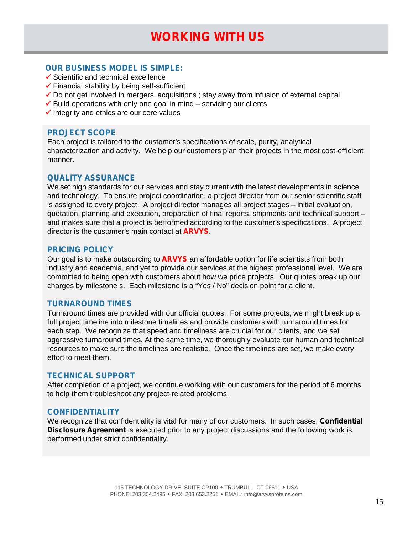### **OUR BUSINESS MODEL IS SIMPLE:**

- $\checkmark$  Scientific and technical excellence
- $\checkmark$  Financial stability by being self-sufficient
- $\checkmark$  Do not get involved in mergers, acquisitions ; stay away from infusion of external capital
- $\checkmark$  Build operations with only one goal in mind servicing our clients
- $\checkmark$  Integrity and ethics are our core values

#### **PROJECT SCOPE**

Each project is tailored to the customer's specifications of scale, purity, analytical characterization and activity. We help our customers plan their projects in the most cost-efficient manner.

#### **QUALITY ASSURANCE**

We set high standards for our services and stay current with the latest developments in science and technology. To ensure project coordination, a project director from our senior scientific staff is assigned to every project. A project director manages all project stages – initial evaluation, quotation, planning and execution, preparation of final reports, shipments and technical support – and makes sure that a project is performed according to the customer's specifications. A project director is the customer's main contact at **ARVYS**.

#### **PRICING POLICY**

Our goal is to make outsourcing to **ARVYS** an affordable option for life scientists from both industry and academia, and yet to provide our services at the highest professional level. We are committed to being open with customers about how we price projects. Our quotes break up our charges by milestone s. Each milestone is a "Yes / No" decision point for a client.

#### **TURNAROUND TIMES**

Turnaround times are provided with our official quotes. For some projects, we might break up a full project timeline into milestone timelines and provide customers with turnaround times for each step. We recognize that speed and timeliness are crucial for our clients, and we set aggressive turnaround times. At the same time, we thoroughly evaluate our human and technical resources to make sure the timelines are realistic. Once the timelines are set, we make every effort to meet them.

#### **TECHNICAL SUPPORT**

After completion of a project, we continue working with our customers for the period of 6 months to help them troubleshoot any project-related problems.

#### **CONFIDENTIALITY**

We recognize that confidentiality is vital for many of our customers. In such cases, **Confidential Disclosure Agreement** is executed prior to any project discussions and the following work is performed under strict confidentiality.